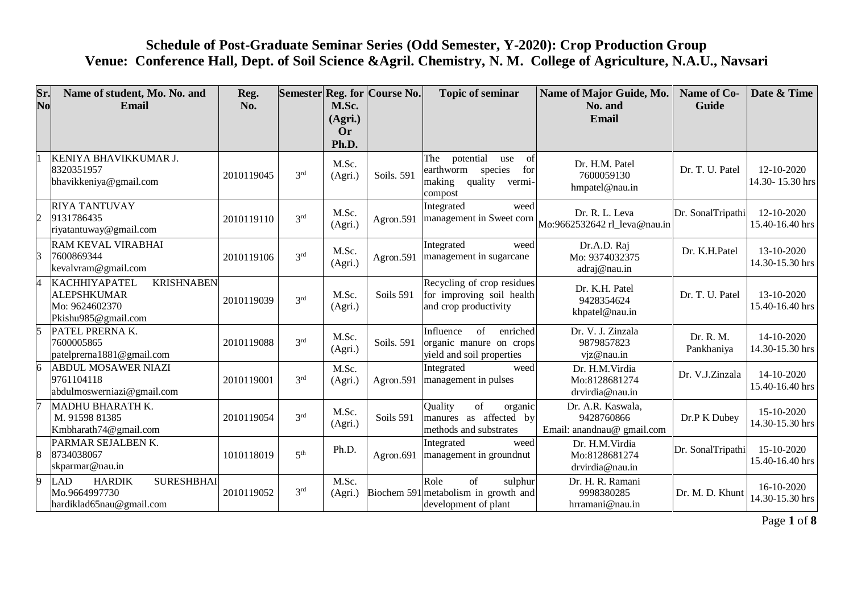# **Schedule of Post-Graduate Seminar Series (Odd Semester, Y-2020): Crop Production Group Venue: Conference Hall, Dept. of Soil Science &Agril. Chemistry, N. M. College of Agriculture, N.A.U., Navsari**

| Sr.<br>No | Name of student, Mo. No. and<br>Email                                                                    | Reg.<br>No. |                 | M.Sc.                         | Semester Reg. for Course No. | <b>Topic of seminar</b>                                                                                                                                                      | Name of Major Guide, Mo.<br>No. and                           | Name of Co-<br>Guide    | Date & Time                   |
|-----------|----------------------------------------------------------------------------------------------------------|-------------|-----------------|-------------------------------|------------------------------|------------------------------------------------------------------------------------------------------------------------------------------------------------------------------|---------------------------------------------------------------|-------------------------|-------------------------------|
|           |                                                                                                          |             |                 | (Agri.)<br><b>Or</b><br>Ph.D. |                              |                                                                                                                                                                              | <b>Email</b>                                                  |                         |                               |
|           | KENIYA BHAVIKKUMAR J.<br>8320351957<br>bhavikkeniya@gmail.com                                            | 2010119045  | 3 <sup>rd</sup> | M.Sc.<br>(Agri.)              | Soils. 591                   | potential<br>The<br>use<br>of<br>earthworm<br>species<br>for<br>quality<br>vermi-<br>making<br>compost                                                                       | Dr. H.M. Patel<br>7600059130<br>hmpatel@nau.in                | Dr. T. U. Patel         | 12-10-2020<br>14.30-15.30 hrs |
| 2         | <b>RIYA TANTUVAY</b><br>9131786435<br>riyatantuway@gmail.com                                             | 2010119110  | 3 <sup>rd</sup> | M.Sc.<br>(Agri.)              | Agron.591                    | Integrated<br>weed<br>management in Sweet corn                                                                                                                               | Dr. R. L. Leva<br>Mo:9662532642 rl_leva@nau.in                | Dr. SonalTripathi       | 12-10-2020<br>15.40-16.40 hrs |
| R         | RAM KEVAL VIRABHAI<br>7600869344<br>kevalvram@gmail.com                                                  | 2010119106  | 3 <sup>rd</sup> | M.Sc.<br>(Agri.)              | Agron.591                    | Integrated<br>weed<br>management in sugarcane                                                                                                                                | Dr.A.D. Raj<br>Mo: 9374032375<br>adraj@nau.in                 | Dr. K.H.Patel           | 13-10-2020<br>14.30-15.30 hrs |
| 4         | <b>KACHHIYAPATEL</b><br><b>KRISHNABEN</b><br><b>ALEPSHKUMAR</b><br>Mo: 9624602370<br>Pkishu985@gmail.com | 2010119039  | 3 <sup>rd</sup> | M.Sc.<br>(Agri.)              | Soils 591                    | Recycling of crop residues<br>for improving soil health<br>and crop productivity                                                                                             | Dr. K.H. Patel<br>9428354624<br>khpatel@nau.in                | Dr. T. U. Patel         | 13-10-2020<br>15.40-16.40 hrs |
| 5         | PATEL PRERNAK.<br>7600005865<br>patelprerna1881@gmail.com                                                | 2010119088  | 3rd             | M.Sc.<br>(Agri.)              | Soils. 591                   | enriched<br>Influence<br>of<br>organic manure on crops<br>yield and soil properties                                                                                          | Dr. V. J. Zinzala<br>9879857823<br>vjz@nau.in                 | Dr. R. M.<br>Pankhaniya | 14-10-2020<br>14.30-15.30 hrs |
| 6         | <b>ABDUL MOSAWER NIAZI</b><br>9761104118<br>abdulmoswerniazi@gmail.com                                   | 2010119001  | 3 <sup>rd</sup> | M.Sc.<br>(Agri.)              | Agron.591                    | Integrated<br>weed<br>management in pulses                                                                                                                                   | Dr. H.M.Virdia<br>Mo:8128681274<br>drvirdia@nau.in            | Dr. V.J.Zinzala         | 14-10-2020<br>15.40-16.40 hrs |
|           | <b>MADHU BHARATH K.</b><br>M. 91598 81385<br>Kmbharath74@gmail.com                                       | 2010119054  | 3 <sup>rd</sup> | M.Sc.<br>(Agri.)              | Soils 591                    | $% \left( \left( \mathcal{A},\mathcal{A}\right) \right) =\left( \mathcal{A},\mathcal{A}\right)$ of<br>Quality<br>organic<br>manures as affected by<br>methods and substrates | Dr. A.R. Kaswala,<br>9428760866<br>Email: anandnau@ gmail.com | Dr.P K Dubey            | 15-10-2020<br>14.30-15.30 hrs |
| 8         | PARMAR SEJALBEN K.<br>8734038067<br>skparmar@nau.in                                                      | 1010118019  | 5 <sup>th</sup> | Ph.D.                         | Agron.691                    | Integrated<br>weed<br>management in groundnut                                                                                                                                | Dr. H.M.Virdia<br>Mo:8128681274<br>drvirdia@nau.in            | Dr. SonalTripathi       | 15-10-2020<br>15.40-16.40 hrs |
| 9         | <b>HARDIK</b><br><b>SURESHBHAI</b><br><b>LAD</b><br>Mo.9664997730<br>hardiklad65nau@gmail.com            | 2010119052  | 3 <sup>rd</sup> | M.Sc.<br>(Agri.)              |                              | Role<br>of<br>sulphur<br>Biochem 591 metabolism in growth and<br>development of plant                                                                                        | Dr. H. R. Ramani<br>9998380285<br>hrramani@nau.in             | Dr. M. D. Khunt         | 16-10-2020<br>14.30-15.30 hrs |

Page **1** of **8**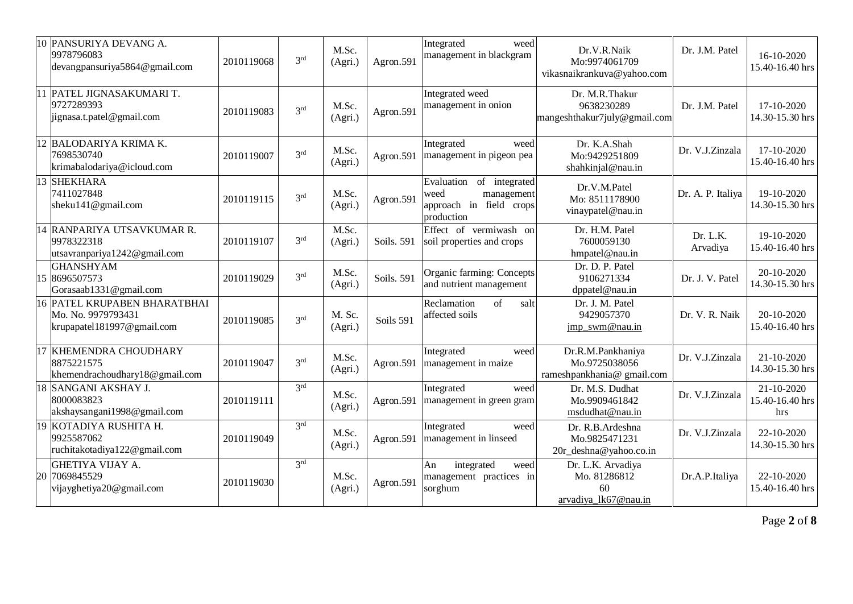| 10 PANSURIYA DEVANG A.<br>9978796083<br>devangpansuriya5864@gmail.com            | 2010119068 | 3 <sup>rd</sup> | M.Sc.<br>(Agri.)  | Agron.591  | Integrated<br>weed<br>management in blackgram                                              | Dr.V.R.Naik<br>Mo:9974061709<br>vikasnaikrankuva@yahoo.com       | Dr. J.M. Patel       | 16-10-2020<br>15.40-16.40 hrs        |
|----------------------------------------------------------------------------------|------------|-----------------|-------------------|------------|--------------------------------------------------------------------------------------------|------------------------------------------------------------------|----------------------|--------------------------------------|
| 11 PATEL JIGNASAKUMARI T.<br>9727289393<br>jignasa.t.patel@gmail.com             | 2010119083 | 3 <sup>rd</sup> | M.Sc.<br>(Agri.)  | Agron.591  | Integrated weed<br>management in onion                                                     | Dr. M.R.Thakur<br>9638230289<br>mangeshthakur7july@gmail.com     | Dr. J.M. Patel       | 17-10-2020<br>14.30-15.30 hrs        |
| 12 BALODARIYA KRIMA K.<br>7698530740<br>krimabalodariya@icloud.com               | 2010119007 | 3 <sup>rd</sup> | M.Sc.<br>(Agri.)  | Agron.591  | Integrated<br>weed<br>management in pigeon pea                                             | Dr. K.A.Shah<br>Mo:9429251809<br>shahkinjal@nau.in               | Dr. V.J.Zinzala      | 17-10-2020<br>15.40-16.40 hrs        |
| 13 SHEKHARA<br>7411027848<br>sheku141@gmail.com                                  | 2010119115 | 3 <sup>rd</sup> | M.Sc.<br>(Agri.)  | Agron.591  | Evaluation<br>of integrated<br>weed<br>management<br>approach in field crops<br>production | Dr.V.M.Patel<br>Mo: 8511178900<br>vinaypatel@nau.in              | Dr. A. P. Italiya    | 19-10-2020<br>14.30-15.30 hrs        |
| 14 RANPARIYA UTSAVKUMAR R.<br>9978322318<br>utsavranpariya1242@gmail.com         | 2010119107 | 3 <sup>rd</sup> | M.Sc.<br>(Agri.)  | Soils. 591 | Effect of vermiwash on<br>soil properties and crops                                        | Dr. H.M. Patel<br>7600059130<br>hmpatel@nau.in                   | Dr. L.K.<br>Arvadiya | 19-10-2020<br>15.40-16.40 hrs        |
| <b>GHANSHYAM</b><br>15 8696507573<br>Gorasaab1331@gmail.com                      | 2010119029 | 3 <sup>rd</sup> | M.Sc.<br>(Agri.)  | Soils. 591 | Organic farming: Concepts<br>and nutrient management                                       | Dr. D. P. Patel<br>9106271334<br>dppatel@nau.in                  | Dr. J. V. Patel      | 20-10-2020<br>14.30-15.30 hrs        |
| 16 PATEL KRUPABEN BHARATBHAI<br>Mo. No. 9979793431<br>krupapatel181997@gmail.com | 2010119085 | 3 <sup>rd</sup> | M. Sc.<br>(Agri.) | Soils 591  | Reclamation<br>of<br>salt<br>affected soils                                                | Dr. J. M. Patel<br>9429057370<br>jmp_swm@nau.in                  | Dr. V. R. Naik       | 20-10-2020<br>15.40-16.40 hrs        |
| 17 KHEMENDRA CHOUDHARY<br>8875221575<br>khemendrachoudhary18@gmail.com           | 2010119047 | 3 <sup>rd</sup> | M.Sc.<br>(Agri.)  | Agron.591  | Integrated<br>weed<br>management in maize                                                  | Dr.R.M.Pankhaniya<br>Mo.9725038056<br>rameshpankhania@ gmail.com | Dr. V.J.Zinzala      | 21-10-2020<br>14.30-15.30 hrs        |
| 18 SANGANI AKSHAY J.<br>8000083823<br>akshaysangani1998@gmail.com                | 2010119111 | 3 <sup>rd</sup> | M.Sc.<br>(Agri.)  | Agron.591  | Integrated<br>weed<br>management in green gram                                             | Dr. M.S. Dudhat<br>Mo.9909461842<br>msdudhat@nau.in              | Dr. V.J.Zinzala      | 21-10-2020<br>15.40-16.40 hrs<br>hrs |
| 19 KOTADIYA RUSHITA H.<br>9925587062<br>ruchitakotadiya122@gmail.com             | 2010119049 | 3 <sup>rd</sup> | M.Sc.<br>(Agri.)  | Agron.591  | Integrated<br>weed<br>management in linseed                                                | Dr. R.B.Ardeshna<br>Mo.9825471231<br>20r_deshna@yahoo.co.in      | Dr. V.J.Zinzala      | 22-10-2020<br>14.30-15.30 hrs        |
| <b>GHETIYA VIJAY A.</b><br>20 7069845529<br>vijayghetiya20@gmail.com             | 2010119030 | 3 <sup>rd</sup> | M.Sc.<br>(Agri.)  | Agron.591  | integrated<br>An<br>weed<br>management practices in<br>sorghum                             | Dr. L.K. Arvadiya<br>Mo. 81286812<br>60<br>arvadiya lk67@nau.in  | Dr.A.P.Italiya       | 22-10-2020<br>15.40-16.40 hrs        |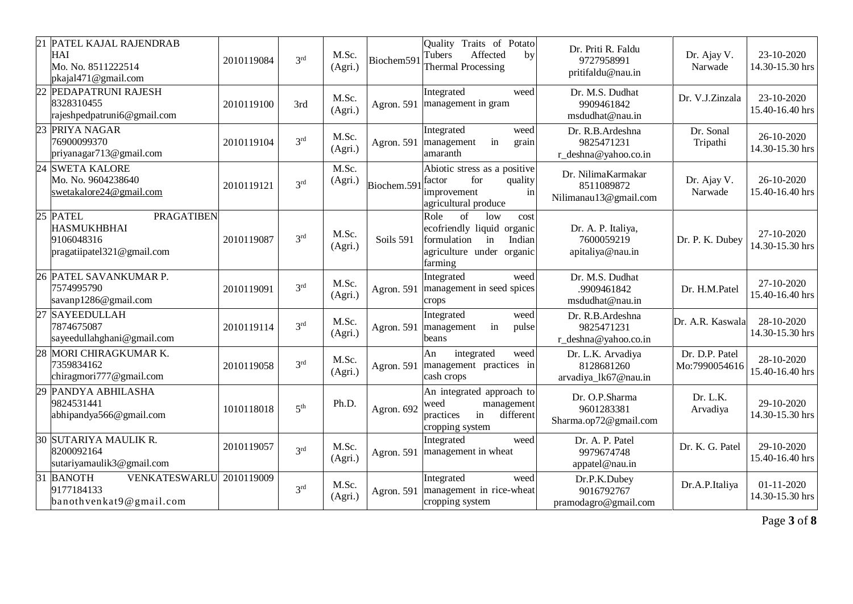| 21 | PATEL KAJAL RAJENDRAB<br>HAI<br>Mo. No. 8511222514<br>pkajal471@gmail.com                       | 2010119084 | 3 <sup>rd</sup> | M.Sc.<br>(Agri.) | Biochem591  | Quality Traits of Potato<br>Affected<br>Tubers<br>by<br><b>Thermal Processing</b>                                              | Dr. Priti R. Faldu<br>9727958991<br>pritifaldu@nau.in     | Dr. Ajay V.<br>Narwade          | 23-10-2020<br>14.30-15.30 hrs       |
|----|-------------------------------------------------------------------------------------------------|------------|-----------------|------------------|-------------|--------------------------------------------------------------------------------------------------------------------------------|-----------------------------------------------------------|---------------------------------|-------------------------------------|
| 22 | PEDAPATRUNI RAJESH<br>8328310455<br>rajeshpedpatruni6@gmail.com                                 | 2010119100 | 3rd             | M.Sc.<br>(Agri.) |             | Integrated<br>weed<br>Agron. 591 management in gram                                                                            | Dr. M.S. Dudhat<br>9909461842<br>msdudhat@nau.in          | Dr. V.J.Zinzala                 | 23-10-2020<br>15.40-16.40 hrs       |
|    | 23 PRIYA NAGAR<br>76900099370<br>priyanagar713@gmail.com                                        | 2010119104 | 3 <sup>rd</sup> | M.Sc.<br>(Agri.) | Agron. 591  | Integrated<br>weed<br>in<br>management<br>grain<br>amaranth                                                                    | Dr. R.B.Ardeshna<br>9825471231<br>r_deshna@yahoo.co.in    | Dr. Sonal<br>Tripathi           | 26-10-2020<br>14.30-15.30 hrs       |
|    | 24 SWETA KALORE<br>Mo. No. 9604238640<br>swetakalore24@gmail.com                                | 2010119121 | 3 <sup>rd</sup> | M.Sc.<br>(Agri.) | Biochem.591 | Abiotic stress as a positive<br>for<br>factor<br>quality<br>in<br>improvement<br>agricultural produce                          | Dr. NilimaKarmakar<br>8511089872<br>Nilimanau13@gmail.com | Dr. Ajay V.<br>Narwade          | 26-10-2020<br>15.40-16.40 hrs       |
|    | 25 PATEL<br><b>PRAGATIBEN</b><br><b>HASMUKHBHAI</b><br>9106048316<br>pragatiipatel321@gmail.com | 2010119087 | 3 <sup>rd</sup> | M.Sc.<br>(Agri.) | Soils 591   | Role<br>of<br>low<br>cost<br>ecofriendly liquid organic<br>Indian<br>formulation<br>in<br>agriculture under organic<br>farming | Dr. A. P. Italiya,<br>7600059219<br>apitaliya@nau.in      | Dr. P. K. Dubey                 | $27 - 10 - 2020$<br>14.30-15.30 hrs |
|    | 26 PATEL SAVANKUMAR P.<br>7574995790<br>savanp1286@gmail.com                                    | 2010119091 | 3 <sup>rd</sup> | M.Sc.<br>(Agri.) | Agron. 591  | Integrated<br>weed<br>management in seed spices<br>crops                                                                       | Dr. M.S. Dudhat<br>.9909461842<br>msdudhat@nau.in         | Dr. H.M.Patel                   | 27-10-2020<br>15.40-16.40 hrs       |
| 27 | <b>SAYEEDULLAH</b><br>7874675087<br>sayeedullahghani@gmail.com                                  | 2010119114 | 3 <sup>rd</sup> | M.Sc.<br>(Agri.) | Agron. 591  | Integrated<br>weed<br>management<br>in<br>pulse<br>beans                                                                       | Dr. R.B.Ardeshna<br>9825471231<br>r_deshna@yahoo.co.in    | Dr. A.R. Kaswala                | 28-10-2020<br>14.30-15.30 hrs       |
| 28 | MORI CHIRAGKUMAR K.<br>7359834162<br>chiragmori777@gmail.com                                    | 2010119058 | 3 <sup>rd</sup> | M.Sc.<br>(Agri.) | Agron. 591  | integrated<br>An<br>weed<br>management practices in<br>cash crops                                                              | Dr. L.K. Arvadiya<br>8128681260<br>arvadiya_lk67@nau.in   | Dr. D.P. Patel<br>Mo:7990054616 | $28 - 10 - 2020$<br>15.40-16.40 hrs |
| 29 | PANDYA ABHILASHA<br>9824531441<br>abhipandya566@gmail.com                                       | 1010118018 | 5 <sup>th</sup> | Ph.D.            | Agron. 692  | An integrated approach to<br>management<br>weed<br>different<br>practices<br>in<br>cropping system                             | Dr. O.P.Sharma<br>9601283381<br>Sharma.op72@gmail.com     | Dr. L.K.<br>Arvadiya            | 29-10-2020<br>14.30-15.30 hrs       |
|    | 30 SUTARIYA MAULIK R.<br>8200092164<br>sutariyamaulik3@gmail.com                                | 2010119057 | 3 <sup>rd</sup> | M.Sc.<br>(Agri.) | Agron. 591  | Integrated<br>weed<br>management in wheat                                                                                      | Dr. A. P. Patel<br>9979674748<br>appatel@nau.in           | Dr. K. G. Patel                 | 29-10-2020<br>15.40-16.40 hrs       |
|    | 31 BANOTH<br>VENKATESWARLU<br>9177184133<br>banothvenkat9@gmail.com                             | 2010119009 | 3 <sup>rd</sup> | M.Sc.<br>(Agri.) | Agron. 591  | Integrated<br>weed<br>management in rice-wheat<br>cropping system                                                              | Dr.P.K.Dubey<br>9016792767<br>pramodagro@gmail.com        | Dr.A.P.Italiya                  | $01 - 11 - 2020$<br>14.30-15.30 hrs |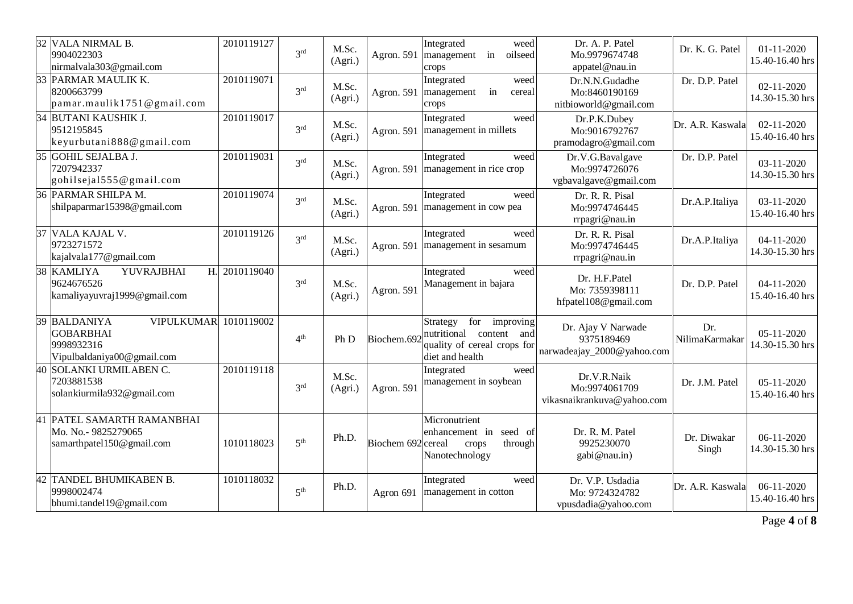| 32 VALA NIRMAL B.<br>9904022303<br>nirmalvala303@gmail.com                                        | 2010119127 | 3 <sup>rd</sup> | M.Sc.<br>(Agri.) | Agron. 591         | Integrated<br>weed<br>in<br>management<br>oilseed<br>crops                                                   | Dr. A. P. Patel<br>Mo.9979674748<br>appatel@nau.in             | Dr. K. G. Patel       | $01 - 11 - 2020$<br>15.40-16.40 hrs |
|---------------------------------------------------------------------------------------------------|------------|-----------------|------------------|--------------------|--------------------------------------------------------------------------------------------------------------|----------------------------------------------------------------|-----------------------|-------------------------------------|
| 33 PARMAR MAULIK K.<br>8200663799<br>pamar.maulik1751@gmail.com                                   | 2010119071 | 3 <sup>rd</sup> | M.Sc.<br>(Agri.) |                    | Integrated<br>weed<br>in<br>Agron. 591 management<br>cereal<br>crops                                         | Dr.N.N.Gudadhe<br>Mo:8460190169<br>nitbioworld@gmail.com       | Dr. D.P. Patel        | 02-11-2020<br>14.30-15.30 hrs       |
| 34 BUTANI KAUSHIK J.<br>9512195845<br>keyurbutani888@gmail.com                                    | 2010119017 | 3 <sup>rd</sup> | M.Sc.<br>(Agri.) |                    | Integrated<br>weed<br>Agron. 591 management in millets                                                       | Dr.P.K.Dubey<br>Mo:9016792767<br>pramodagro@gmail.com          | Dr. A.R. Kaswala      | $02 - 11 - 2020$<br>15.40-16.40 hrs |
| 35 GOHIL SEJALBA J.<br>7207942337<br>gohilsejal555@gmail.com                                      | 2010119031 | 3 <sup>rd</sup> | M.Sc.<br>(Agri.) | Agron. 591         | Integrated<br>weed<br>management in rice crop                                                                | Dr.V.G.Bavalgave<br>Mo:9974726076<br>vgbavalgave@gmail.com     | Dr. D.P. Patel        | 03-11-2020<br>14.30-15.30 hrs       |
| 36 PARMAR SHILPA M.<br>shilpaparmar15398@gmail.com                                                | 2010119074 | 3 <sup>rd</sup> | M.Sc.<br>(Agri.) | Agron. 591         | Integrated<br>weed<br>management in cow pea                                                                  | Dr. R. R. Pisal<br>Mo:9974746445<br>rrpagri@nau.in             | Dr.A.P.Italiya        | 03-11-2020<br>15.40-16.40 hrs       |
| 37 VALA KAJAL V.<br>9723271572<br>kajalvala177@gmail.com                                          | 2010119126 | 3 <sup>rd</sup> | M.Sc.<br>(Agri.) | Agron. 591         | Integrated<br>weed<br>management in sesamum                                                                  | Dr. R. R. Pisal<br>Mo:9974746445<br>rrpagri@nau.in             | Dr.A.P.Italiya        | $04-11-2020$<br>14.30-15.30 hrs     |
| 38 KAMLIYA<br>YUVRAJBHAI<br>Н.<br>9624676526<br>kamaliyayuvraj1999@gmail.com                      | 2010119040 | 3 <sup>rd</sup> | M.Sc.<br>(Agri.) | Agron. 591         | Integrated<br>weed<br>Management in bajara                                                                   | Dr. H.F.Patel<br>Mo: 7359398111<br>hfpatel108@gmail.com        | Dr. D.P. Patel        | 04-11-2020<br>15.40-16.40 hrs       |
| 39 BALDANIYA<br><b>VIPULKUMAR</b><br><b>GOBARBHAI</b><br>9998932316<br>Vipulbaldaniya00@gmail.com | 1010119002 | 4 <sup>th</sup> | Ph D             | Biochem.692        | for improving<br>Strategy<br>nutritional<br>content<br>and<br>quality of cereal crops for<br>diet and health | Dr. Ajay V Narwade<br>9375189469<br>narwadeajay_2000@yahoo.com | Dr.<br>NilimaKarmakar | 05-11-2020<br>14.30-15.30 hrs       |
| 40 SOLANKI URMILABEN C.<br>7203881538<br>solankiurmila932@gmail.com                               | 2010119118 | 3 <sup>rd</sup> | M.Sc.<br>(Agri.) | Agron. 591         | Integrated<br>weed<br>management in soybean                                                                  | Dr.V.R.Naik<br>Mo:9974061709<br>vikasnaikrankuva@yahoo.com     | Dr. J.M. Patel        | 05-11-2020<br>15.40-16.40 hrs       |
| 41 PATEL SAMARTH RAMANBHAI<br>Mo. No.- 9825279065<br>samarthpatel150@gmail.com                    | 1010118023 | 5 <sup>th</sup> | Ph.D.            | Biochem 692 cereal | Micronutrient<br>enhancement in seed of<br>crops<br>through<br>Nanotechnology                                | Dr. R. M. Patel<br>9925230070<br>gabi@nau.in)                  | Dr. Diwakar<br>Singh  | 06-11-2020<br>14.30-15.30 hrs       |
| 42 TANDEL BHUMIKABEN B.<br>9998002474<br>bhumi.tandel19@gmail.com                                 | 1010118032 | 5 <sup>th</sup> | Ph.D.            | Agron 691          | Integrated<br>weed<br>management in cotton                                                                   | Dr. V.P. Usdadia<br>Mo: 9724324782<br>vpusdadia@yahoo.com      | Dr. A.R. Kaswala      | 06-11-2020<br>15.40-16.40 hrs       |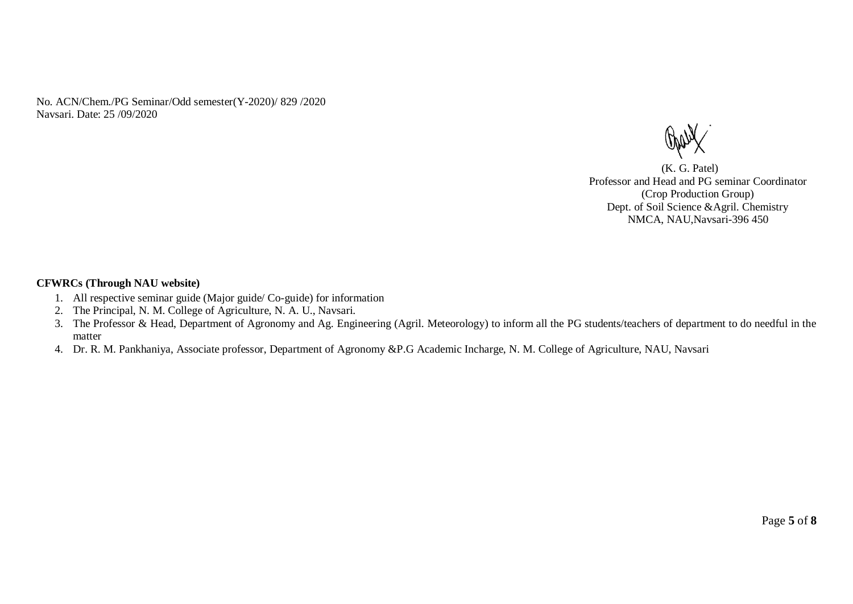No. ACN/Chem./PG Seminar/Odd semester(Y-2020)/ 829 /2020 Navsari. Date: 25 /09/2020

(K. G. Patel) Professor and Head and PG seminar Coordinator (Crop Production Group) Dept. of Soil Science &Agril. Chemistry NMCA, NAU,Navsari-396 450

## **CFWRCs (Through NAU website)**

- 1. All respective seminar guide (Major guide/ Co-guide) for information
- 2. The Principal, N. M. College of Agriculture, N. A. U., Navsari.
- 3. The Professor & Head, Department of Agronomy and Ag. Engineering (Agril. Meteorology) to inform all the PG students/teachers of department to do needful in the matter
- 4. Dr. R. M. Pankhaniya, Associate professor, Department of Agronomy &P.G Academic Incharge, N. M. College of Agriculture, NAU, Navsari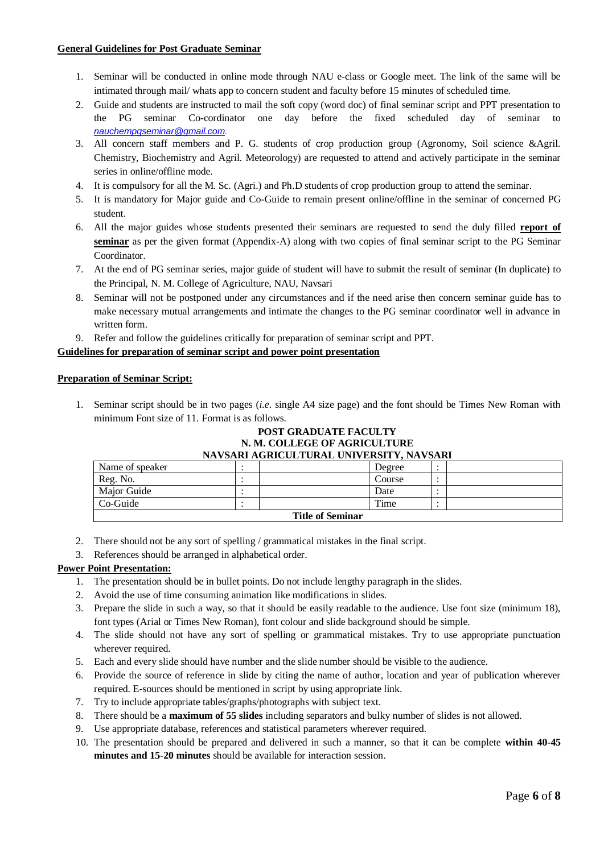### **General Guidelines for Post Graduate Seminar**

- 1. Seminar will be conducted in online mode through NAU e-class or Google meet. The link of the same will be intimated through mail/ whats app to concern student and faculty before 15 minutes of scheduled time.
- 2. Guide and students are instructed to mail the soft copy (word doc) of final seminar script and PPT presentation to the PG seminar Co-cordinator one day before the fixed scheduled day of seminar to *[nauchempgseminar@gmail.com.](mailto:nauchempgseminar@gmail.com)*
- 3. All concern staff members and P. G. students of crop production group (Agronomy, Soil science &Agril. Chemistry, Biochemistry and Agril. Meteorology) are requested to attend and actively participate in the seminar series in online/offline mode.
- 4. It is compulsory for all the M. Sc. (Agri.) and Ph.D students of crop production group to attend the seminar.
- 5. It is mandatory for Major guide and Co-Guide to remain present online/offline in the seminar of concerned PG student.
- 6. All the major guides whose students presented their seminars are requested to send the duly filled **report of seminar** as per the given format (Appendix-A) along with two copies of final seminar script to the PG Seminar Coordinator.
- 7. At the end of PG seminar series, major guide of student will have to submit the result of seminar (In duplicate) to the Principal, N. M. College of Agriculture, NAU, Navsari
- 8. Seminar will not be postponed under any circumstances and if the need arise then concern seminar guide has to make necessary mutual arrangements and intimate the changes to the PG seminar coordinator well in advance in written form.

9. Refer and follow the guidelines critically for preparation of seminar script and PPT.

### **Guidelines for preparation of seminar script and power point presentation**

### **Preparation of Seminar Script:**

1. Seminar script should be in two pages (*i.e.* single A4 size page) and the font should be Times New Roman with minimum Font size of 11. Format is as follows.

## **POST GRADUATE FACULTY N. M. COLLEGE OF AGRICULTURE**

| NAVSARI AGRICULTURAL UNIVERSITY, NAVSARI |  |        |  |  |  |  |
|------------------------------------------|--|--------|--|--|--|--|
| Name of speaker                          |  | Degree |  |  |  |  |
| Reg. No.                                 |  | Course |  |  |  |  |
| Maior Guide                              |  | Date   |  |  |  |  |
| Co-Guide                                 |  | Time   |  |  |  |  |
| <b>Title of Seminar</b>                  |  |        |  |  |  |  |

- 2. There should not be any sort of spelling / grammatical mistakes in the final script.
- 3. References should be arranged in alphabetical order.

## **Power Point Presentation:**

- 1. The presentation should be in bullet points. Do not include lengthy paragraph in the slides.
- 2. Avoid the use of time consuming animation like modifications in slides.
- 3. Prepare the slide in such a way, so that it should be easily readable to the audience. Use font size (minimum 18), font types (Arial or Times New Roman), font colour and slide background should be simple.
- 4. The slide should not have any sort of spelling or grammatical mistakes. Try to use appropriate punctuation wherever required.
- 5. Each and every slide should have number and the slide number should be visible to the audience.
- 6. Provide the source of reference in slide by citing the name of author, location and year of publication wherever required. E-sources should be mentioned in script by using appropriate link.
- 7. Try to include appropriate tables/graphs/photographs with subject text.
- 8. There should be a **maximum of 55 slides** including separators and bulky number of slides is not allowed.
- 9. Use appropriate database, references and statistical parameters wherever required.
- 10. The presentation should be prepared and delivered in such a manner, so that it can be complete **within 40-45 minutes and 15-20 minutes** should be available for interaction session.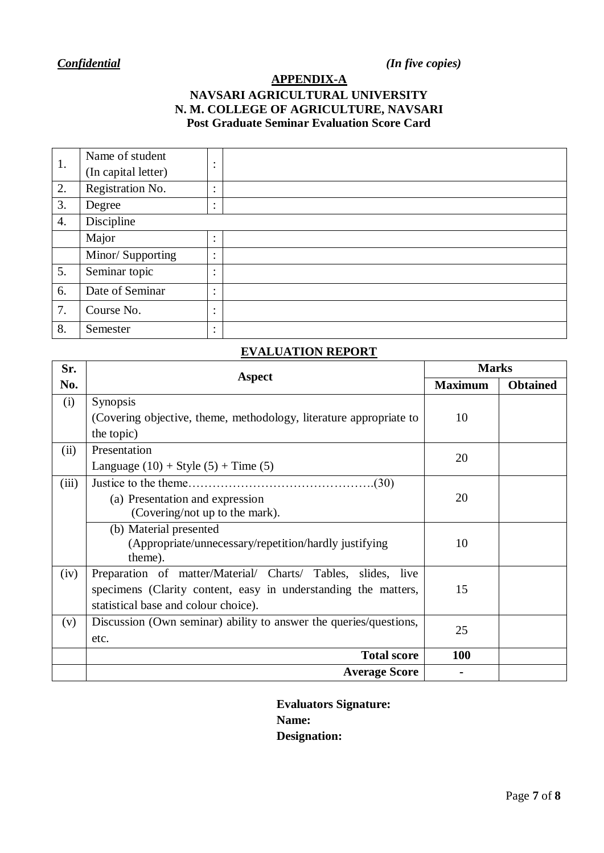## **APPENDIX-A NAVSARI AGRICULTURAL UNIVERSITY N. M. COLLEGE OF AGRICULTURE, NAVSARI Post Graduate Seminar Evaluation Score Card**

| 1. | Name of student     | $\bullet$              |  |
|----|---------------------|------------------------|--|
|    | (In capital letter) | $\bullet$              |  |
| 2. | Registration No.    | $\bullet$<br>$\bullet$ |  |
| 3. | Degree              | ٠<br>$\bullet$         |  |
| 4. | Discipline          |                        |  |
|    | Major               | $\bullet$<br>$\bullet$ |  |
|    | Minor/Supporting    | $\bullet$<br>$\bullet$ |  |
| 5. | Seminar topic       | ٠<br>$\bullet$         |  |
| 6. | Date of Seminar     | $\bullet$<br>$\bullet$ |  |
| 7. | Course No.          | $\bullet$<br>$\bullet$ |  |
| 8. | Semester            | $\bullet$<br>$\bullet$ |  |

# **EVALUATION REPORT**

| Sr.   |                                                                    | <b>Marks</b>   |                 |  |  |
|-------|--------------------------------------------------------------------|----------------|-----------------|--|--|
| No.   | <b>Aspect</b>                                                      | <b>Maximum</b> | <b>Obtained</b> |  |  |
| (i)   | <b>Synopsis</b>                                                    |                |                 |  |  |
|       | (Covering objective, theme, methodology, literature appropriate to | 10             |                 |  |  |
|       | the topic)                                                         |                |                 |  |  |
| (ii)  | Presentation                                                       | 20             |                 |  |  |
|       | Language $(10) +$ Style $(5) +$ Time $(5)$                         |                |                 |  |  |
| (iii) |                                                                    |                |                 |  |  |
|       | (a) Presentation and expression                                    | 20             |                 |  |  |
|       | (Covering/not up to the mark).                                     |                |                 |  |  |
|       | (b) Material presented                                             |                |                 |  |  |
|       | (Appropriate/unnecessary/repetition/hardly justifying              | 10             |                 |  |  |
|       | theme).                                                            |                |                 |  |  |
| (iv)  | Preparation of matter/Material/ Charts/ Tables, slides, live       |                |                 |  |  |
|       | specimens (Clarity content, easy in understanding the matters,     | 15             |                 |  |  |
|       | statistical base and colour choice).                               |                |                 |  |  |
| (v)   | Discussion (Own seminar) ability to answer the queries/questions,  | 25             |                 |  |  |
|       | etc.                                                               |                |                 |  |  |
|       | <b>Total score</b>                                                 | 100            |                 |  |  |
|       | <b>Average Score</b>                                               |                |                 |  |  |

# **Evaluators Signature: Name: Designation:**